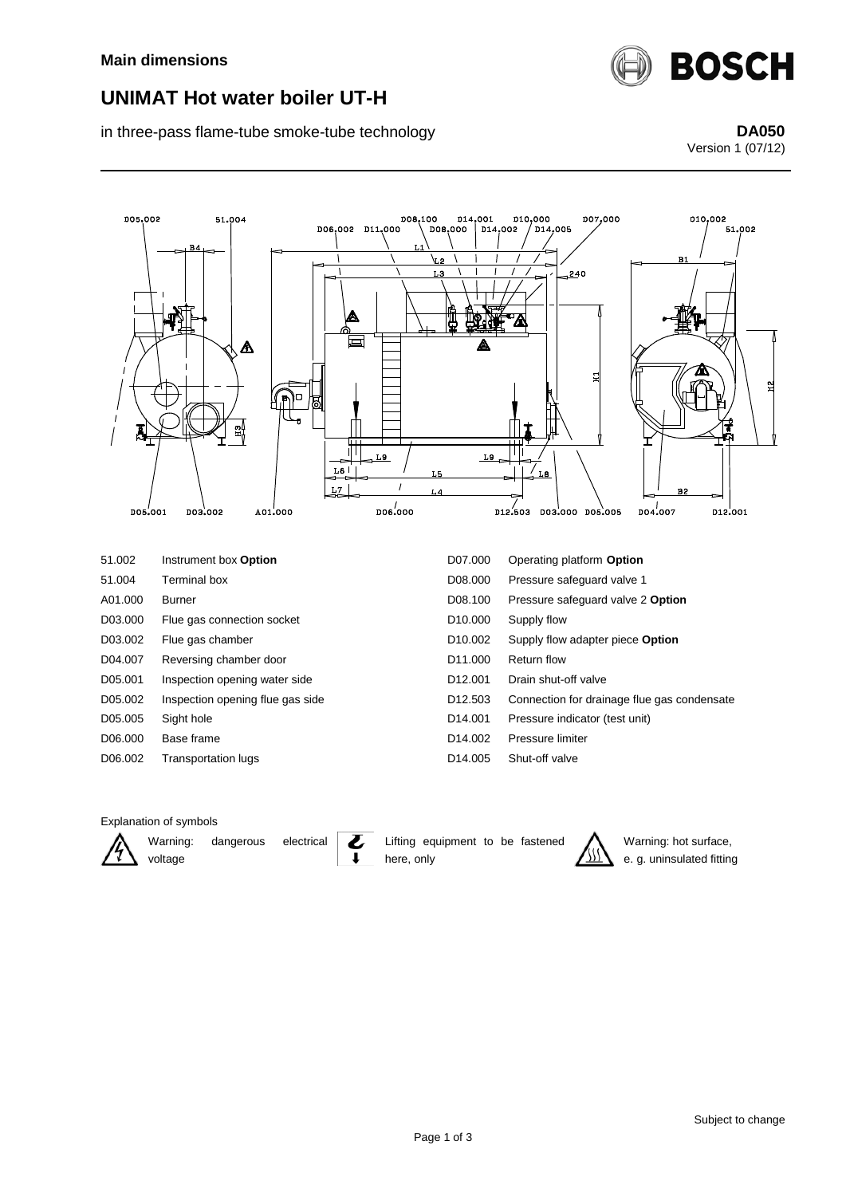

## **UNIMAT Hot water boiler UT-H**

in three-pass flame-tube smoke-tube technology **DA050** DA050

Version 1 (07/12)



#### Explanation of symbols



Warning: dangerous electrical voltage

Lifting equipment to be fastened here, only



Warning: hot surface, e. g. uninsulated fitting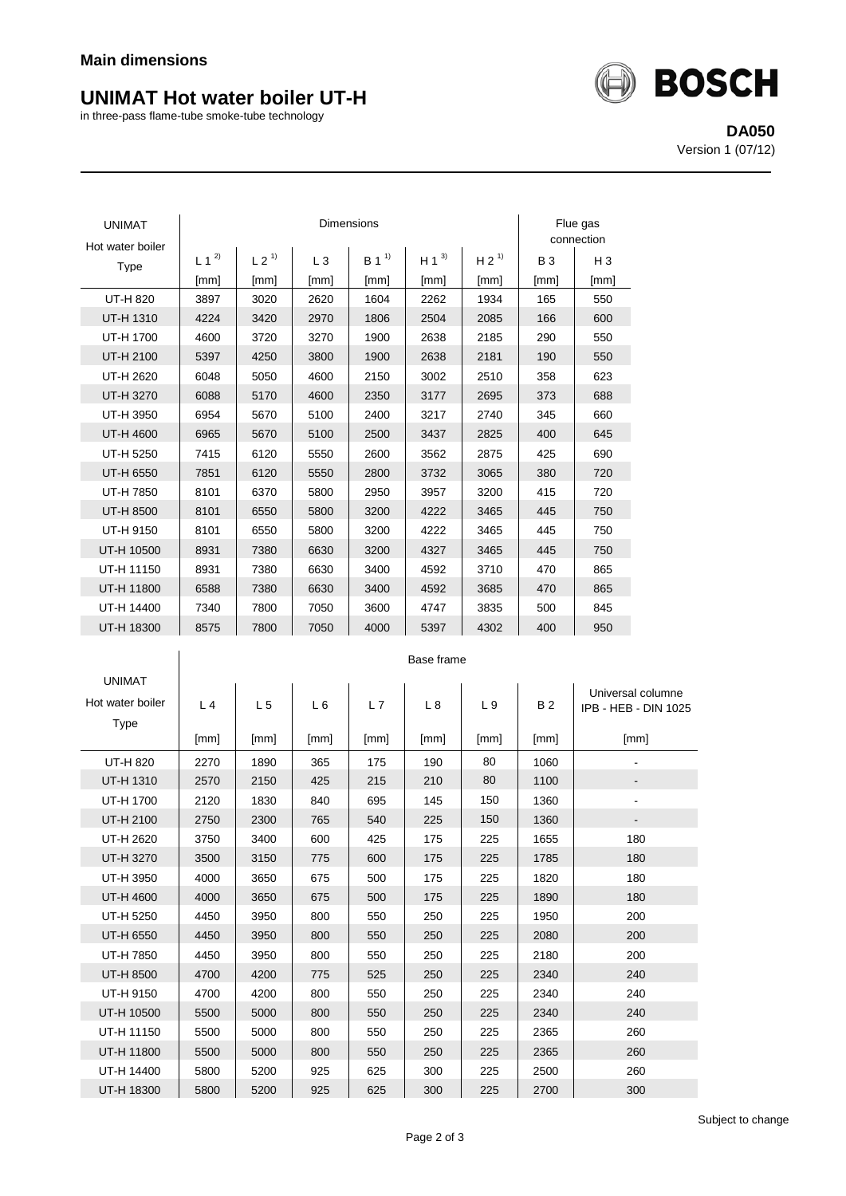# **UNIMAT Hot water boiler UT-H**

in three-pass flame-tube smoke-tube technology



**DA050** Version 1 (07/12)

| <b>UNIMAT</b><br>Hot water boiler |           | Flue gas<br>connection |      |                  |           |                  |           |       |
|-----------------------------------|-----------|------------------------|------|------------------|-----------|------------------|-----------|-------|
| Type                              | $L 1^{2}$ | L 2 <sup>1</sup>       | L3   | B 1 <sup>1</sup> | $H 1^{3}$ | H 2 <sup>1</sup> | <b>B3</b> | $H_3$ |
|                                   | [mm]      | [mm]                   | [mm] | [mm]             | [mm]      | [mm]             | [mm]      | [mm]  |
| UT-H 820                          | 3897      | 3020                   | 2620 | 1604             | 2262      | 1934             | 165       | 550   |
| UT-H 1310                         | 4224      | 3420                   | 2970 | 1806             | 2504      | 2085             | 166       | 600   |
| UT-H 1700                         | 4600      | 3720                   | 3270 | 1900             | 2638      | 2185             | 290       | 550   |
| UT-H 2100                         | 5397      | 4250                   | 3800 | 1900             | 2638      | 2181             | 190       | 550   |
| UT-H 2620                         | 6048      | 5050                   | 4600 | 2150             | 3002      | 2510             | 358       | 623   |
| UT-H 3270                         | 6088      | 5170                   | 4600 | 2350             | 3177      | 2695             | 373       | 688   |
| UT-H 3950                         | 6954      | 5670                   | 5100 | 2400             | 3217      | 2740             | 345       | 660   |
| UT-H 4600                         | 6965      | 5670                   | 5100 | 2500             | 3437      | 2825             | 400       | 645   |
| UT-H 5250                         | 7415      | 6120                   | 5550 | 2600             | 3562      | 2875             | 425       | 690   |
| UT-H 6550                         | 7851      | 6120                   | 5550 | 2800             | 3732      | 3065             | 380       | 720   |
| UT-H 7850                         | 8101      | 6370                   | 5800 | 2950             | 3957      | 3200             | 415       | 720   |
| UT-H 8500                         | 8101      | 6550                   | 5800 | 3200             | 4222      | 3465             | 445       | 750   |
| UT-H 9150                         | 8101      | 6550                   | 5800 | 3200             | 4222      | 3465             | 445       | 750   |
| UT-H 10500                        | 8931      | 7380                   | 6630 | 3200             | 4327      | 3465             | 445       | 750   |
| UT-H 11150                        | 8931      | 7380                   | 6630 | 3400             | 4592      | 3710             | 470       | 865   |
| UT-H 11800                        | 6588      | 7380                   | 6630 | 3400             | 4592      | 3685             | 470       | 865   |
| UT-H 14400                        | 7340      | 7800                   | 7050 | 3600             | 4747      | 3835             | 500       | 845   |
| UT-H 18300                        | 8575      | 7800                   | 7050 | 4000             | 5397      | 4302             | 400       | 950   |

|                  | Base frame     |                |      |      |      |      |           |                      |  |
|------------------|----------------|----------------|------|------|------|------|-----------|----------------------|--|
| <b>UNIMAT</b>    |                |                |      |      |      |      |           | Universal columne    |  |
| Hot water boiler | L <sub>4</sub> | L <sub>5</sub> | L6   | L7   | L 8  | L 9  | <b>B2</b> | IPB - HEB - DIN 1025 |  |
| Type             |                |                |      |      |      |      |           |                      |  |
|                  | [mm]           | [mm]           | [mm] | [mm] | [mm] | [mm] | [mm]      | [mm]                 |  |
| UT-H 820         | 2270           | 1890           | 365  | 175  | 190  | 80   | 1060      |                      |  |
| <b>UT-H 1310</b> | 2570           | 2150           | 425  | 215  | 210  | 80   | 1100      |                      |  |
| UT-H 1700        | 2120           | 1830           | 840  | 695  | 145  | 150  | 1360      |                      |  |
| UT-H 2100        | 2750           | 2300           | 765  | 540  | 225  | 150  | 1360      | ۰.                   |  |
| UT-H 2620        | 3750           | 3400           | 600  | 425  | 175  | 225  | 1655      | 180                  |  |
| UT-H 3270        | 3500           | 3150           | 775  | 600  | 175  | 225  | 1785      | 180                  |  |
| UT-H 3950        | 4000           | 3650           | 675  | 500  | 175  | 225  | 1820      | 180                  |  |
| <b>UT-H 4600</b> | 4000           | 3650           | 675  | 500  | 175  | 225  | 1890      | 180                  |  |
| UT-H 5250        | 4450           | 3950           | 800  | 550  | 250  | 225  | 1950      | 200                  |  |
| UT-H 6550        | 4450           | 3950           | 800  | 550  | 250  | 225  | 2080      | 200                  |  |
| UT-H 7850        | 4450           | 3950           | 800  | 550  | 250  | 225  | 2180      | 200                  |  |
| UT-H 8500        | 4700           | 4200           | 775  | 525  | 250  | 225  | 2340      | 240                  |  |
| UT-H 9150        | 4700           | 4200           | 800  | 550  | 250  | 225  | 2340      | 240                  |  |
| UT-H 10500       | 5500           | 5000           | 800  | 550  | 250  | 225  | 2340      | 240                  |  |
| UT-H 11150       | 5500           | 5000           | 800  | 550  | 250  | 225  | 2365      | 260                  |  |
| UT-H 11800       | 5500           | 5000           | 800  | 550  | 250  | 225  | 2365      | 260                  |  |
| UT-H 14400       | 5800           | 5200           | 925  | 625  | 300  | 225  | 2500      | 260                  |  |
| UT-H 18300       | 5800           | 5200           | 925  | 625  | 300  | 225  | 2700      | 300                  |  |